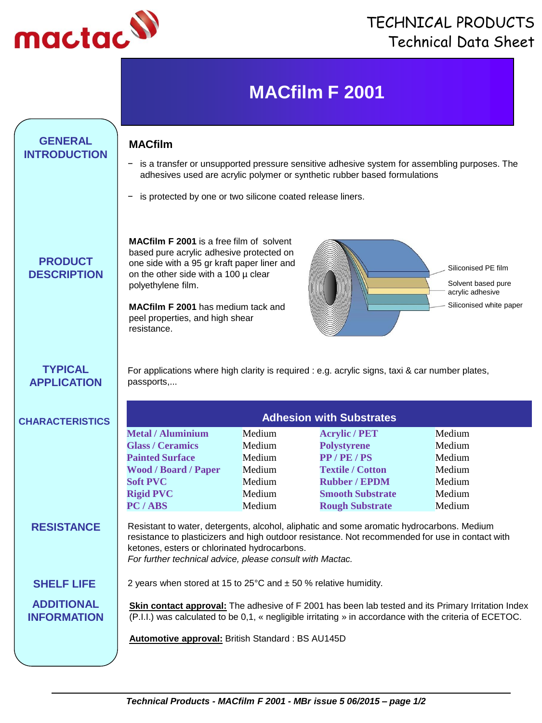

## TECHNICAL PRODUCTS Technical Data Sheet

# **MACfilm F 2001**

### **GENERAL MACfilm INTRODUCTION**

- is a transfer or unsupported pressure sensitive adhesive system for assembling purposes. The adhesives used are acrylic polymer or synthetic rubber based formulations
- is protected by one or two silicone coated release liners.

**PRODUCT DESCRIPTION** based pure acrylic adhesive protected on one side with a 95 gr kraft paper liner and on the other side with a 100 µ clear polyethylene film.

**MACfilm F 2001** is a free film of solvent

**MACfilm F 2001** has medium tack and peel properties, and high shear resistance.



### **TYPICAL APPLICATION**

For applications where high clarity is required : e.g. acrylic signs, taxi & car number plates, passports,...

## **CHARACTERISTICS Metal / Aluminium** Medium **Acrylic / PET** Medium **Glass / Ceramics** Medium **Polystyrene** Medium **Painted Surface Medium PP/PE/PS Medium Wood / Board / Paper** Medium **Textile / Cotton** Medium **Soft PVC** Medium **Rubber / EPDM** Medium **Rigid PVC** Medium **Smooth Substrate** Medium **PC / ABS** Medium **Rough Substrate** Medium

**RESISTANCE** Resistant to water, detergents, alcohol, aliphatic and some aromatic hydrocarbons. Medium resistance to plasticizers and high outdoor resistance. Not recommended for use in contact with ketones, esters or chlorinated hydrocarbons.

*For further technical advice, please consult with Mactac.*

**ADDITIONAL INFORMATION**

**SHELF LIFE** 2 years when stored at 15 to 25°C and ± 50 % relative humidity.

**Skin contact approval:** The adhesive of F 2001 has been lab tested and its Primary Irritation Index (P.I.I.) was calculated to be 0,1, « negligible irritating » in accordance with the criteria of ECETOC.

**Automotive approval:** British Standard : BS AU145D